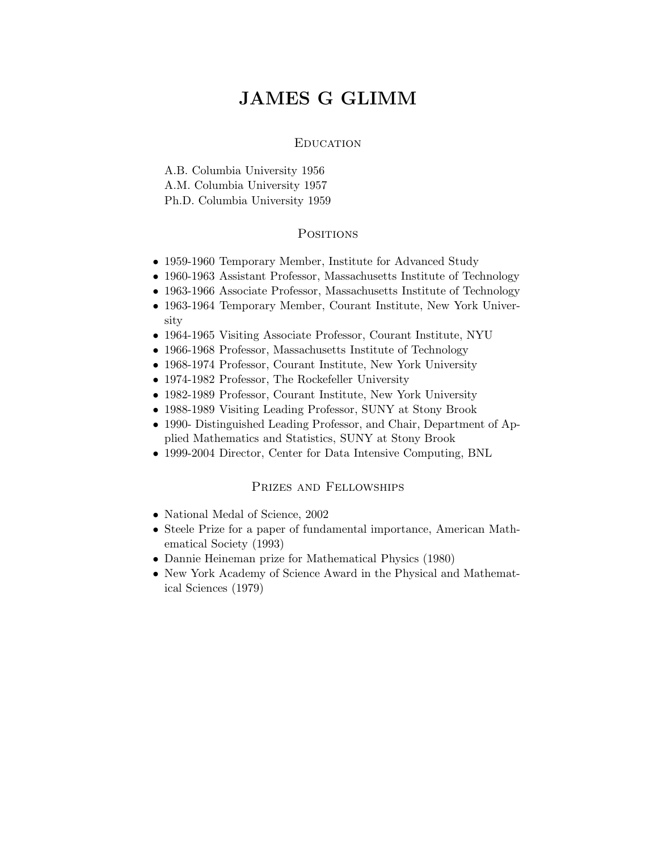# JAMES G GLIMM

#### **EDUCATION**

A.B. Columbia University 1956 A.M. Columbia University 1957 Ph.D. Columbia University 1959

#### **POSITIONS**

- 1959-1960 Temporary Member, Institute for Advanced Study
- 1960-1963 Assistant Professor, Massachusetts Institute of Technology
- 1963-1966 Associate Professor, Massachusetts Institute of Technology
- 1963-1964 Temporary Member, Courant Institute, New York University
- 1964-1965 Visiting Associate Professor, Courant Institute, NYU
- 1966-1968 Professor, Massachusetts Institute of Technology
- 1968-1974 Professor, Courant Institute, New York University
- 1974-1982 Professor, The Rockefeller University
- 1982-1989 Professor, Courant Institute, New York University
- 1988-1989 Visiting Leading Professor, SUNY at Stony Brook
- 1990- Distinguished Leading Professor, and Chair, Department of Applied Mathematics and Statistics, SUNY at Stony Brook
- 1999-2004 Director, Center for Data Intensive Computing, BNL

### Prizes and Fellowships

- National Medal of Science, 2002
- Steele Prize for a paper of fundamental importance, American Mathematical Society (1993)
- Dannie Heineman prize for Mathematical Physics (1980)
- New York Academy of Science Award in the Physical and Mathematical Sciences (1979)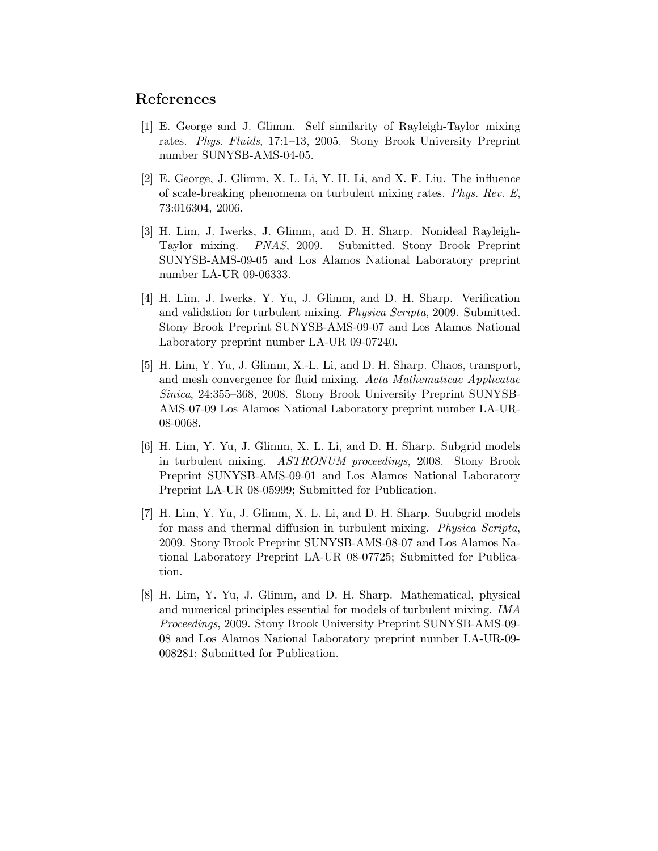## References

- [1] E. George and J. Glimm. Self similarity of Rayleigh-Taylor mixing rates. Phys. Fluids, 17:1–13, 2005. Stony Brook University Preprint number SUNYSB-AMS-04-05.
- [2] E. George, J. Glimm, X. L. Li, Y. H. Li, and X. F. Liu. The influence of scale-breaking phenomena on turbulent mixing rates. Phys. Rev. E, 73:016304, 2006.
- [3] H. Lim, J. Iwerks, J. Glimm, and D. H. Sharp. Nonideal Rayleigh-Taylor mixing. PNAS, 2009. Submitted. Stony Brook Preprint SUNYSB-AMS-09-05 and Los Alamos National Laboratory preprint number LA-UR 09-06333.
- [4] H. Lim, J. Iwerks, Y. Yu, J. Glimm, and D. H. Sharp. Verification and validation for turbulent mixing. Physica Scripta, 2009. Submitted. Stony Brook Preprint SUNYSB-AMS-09-07 and Los Alamos National Laboratory preprint number LA-UR 09-07240.
- [5] H. Lim, Y. Yu, J. Glimm, X.-L. Li, and D. H. Sharp. Chaos, transport, and mesh convergence for fluid mixing. Acta Mathematicae Applicatae Sinica, 24:355–368, 2008. Stony Brook University Preprint SUNYSB-AMS-07-09 Los Alamos National Laboratory preprint number LA-UR-08-0068.
- [6] H. Lim, Y. Yu, J. Glimm, X. L. Li, and D. H. Sharp. Subgrid models in turbulent mixing. ASTRONUM proceedings, 2008. Stony Brook Preprint SUNYSB-AMS-09-01 and Los Alamos National Laboratory Preprint LA-UR 08-05999; Submitted for Publication.
- [7] H. Lim, Y. Yu, J. Glimm, X. L. Li, and D. H. Sharp. Suubgrid models for mass and thermal diffusion in turbulent mixing. Physica Scripta, 2009. Stony Brook Preprint SUNYSB-AMS-08-07 and Los Alamos National Laboratory Preprint LA-UR 08-07725; Submitted for Publication.
- [8] H. Lim, Y. Yu, J. Glimm, and D. H. Sharp. Mathematical, physical and numerical principles essential for models of turbulent mixing. IMA Proceedings, 2009. Stony Brook University Preprint SUNYSB-AMS-09- 08 and Los Alamos National Laboratory preprint number LA-UR-09- 008281; Submitted for Publication.